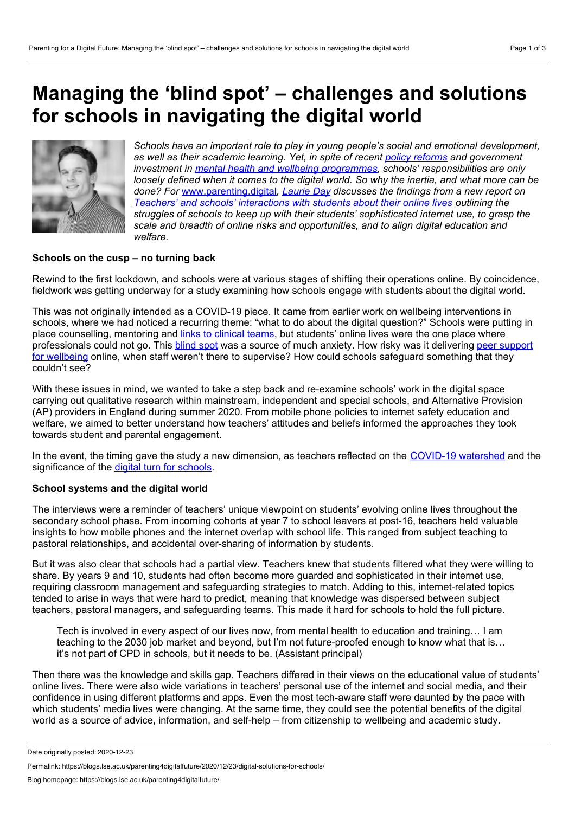# **Managing the 'blind spot' – challenges and solutions for schools in navigating the digital world**



*Schools have an important role to play in young people's social and emotional development, as well as their academic learning. Yet, in spite of recent policy [reforms](https://www.gov.uk/government/consultations/transforming-children-and-young-peoples-mental-health-provision-a-green-paper) and government investment in mental health and wellbeing [programmes](https://www.gov.uk/government/news/8m-programme-to-boost-pupil-and-teacher-wellbeing), schools' responsibilities are only loosely defined when it comes to the digital world. So why the inertia, and what more can be done? For* [www.parenting.digital](http://www.parenting.digital)*, [Laurie](https://www.linkedin.com/in/laurie-day-240b62149/?originalSubdomain=uk) Day discusses the findings from anew report on Teachers' and schools' [interactions](https://www.schoolsdigital.com/reports/teachers-and-schools-report-main.pdf) with students about their online lives outlining the struggles of schools to keep up with their students' sophisticated internet use, to grasp the scale and breadth of online risks and opportunities, and to align digital education and welfare.*

### **Schools on the cusp – no turning back**

Rewind to the first lockdown, and schools were at various stages of shifting their operations online. By coincidence, fieldwork was getting underway for a study examining how schools engage with students about the digital world.

This was not originally intended as a COVID-19 piece. It came from earlier work on wellbeing interventions in schools, where we had noticed a recurring theme: "what to do about the digital question?" Schools were putting in place counselling, mentoring and links to [clinical](https://assets.publishing.service.gov.uk/government/uploads/system/uploads/attachment_data/file/590242/Evaluation_of_the_MH_services_and_schools_link_pilots-RR.pdf) teams, but students' online lives were the one place where [professionals](https://www.gov.uk/government/publications/peer-support-for-mental-health-pilots-an-evaluation) could not go. This [blind](https://www.basw.co.uk/resources/resilience-digital-world-research-children-and-young-people%25E2%2580%2599s-social-and-emotional) spot was a source of much anxiety. How risky was it delivering peer support for wellbeing online, when staff weren't there to supervise? How could schools safeguard something that they couldn't see?

With these issues in mind, we wanted to take a step back and re-examine schools' work in the digital space carrying out qualitative research within mainstream, independent and special schools, and Alternative Provision (AP) providers in England during summer 2020. From mobile phone policies to internet safety education and welfare, we aimed to better understand how teachers' attitudes and beliefs informed the approaches they took towards student and parental engagement.

In the event, the timing gave the study a new dimension, as teachers reflected on the [COVID-19](https://blogs.lse.ac.uk/parenting4digitalfuture/2020/05/13/digital-by-default/) watershed and the significance of the digital turn for [schools](https://blogs.lse.ac.uk/parenting4digitalfuture/2020/06/17/learning-during-pandemic/).

#### **School systems and the digital world**

The interviews were a reminder of teachers' unique viewpoint on students' evolving online lives throughout the secondary school phase. From incoming cohorts at year 7 to school leavers at post-16, teachers held valuable insights to how mobile phones and the internet overlap with school life. This ranged from subject teaching to pastoral relationships, and accidental over-sharing of information by students.

But it was also clear that schools had a partial view. Teachers knew that students filtered what they were willing to share. By years 9 and 10, students had often become more guarded and sophisticated in their internet use, requiring classroom management and safeguarding strategies to match. Adding to this, internet-related topics tended to arise in ways that were hard to predict, meaning that knowledge was dispersed between subject teachers, pastoral managers, and safeguarding teams. This made it hard for schools to hold the full picture.

Tech is involved in every aspect of our lives now, from mental health to education and training… I am teaching to the 2030 job market and beyond, but I'm not future-proofed enough to know what that is… it's not part of CPD in schools, but it needs to be. (Assistant principal)

Then there was the knowledge and skills gap. Teachers differed in their views on the educational value of students' online lives. There were also wide variations in teachers' personal use of the internet and social media, and their confidence in using different platforms and apps. Even the most tech-aware staff were daunted by the pace with which students' media lives were changing. At the same time, they could see the potential benefits of the digital world as a source of advice, information, and self-help – from citizenship to wellbeing and academic study.

Date originally posted: 2020-12-23

Permalink: https://blogs.lse.ac.uk/parenting4digitalfuture/2020/12/23/digital-solutions-for-schools/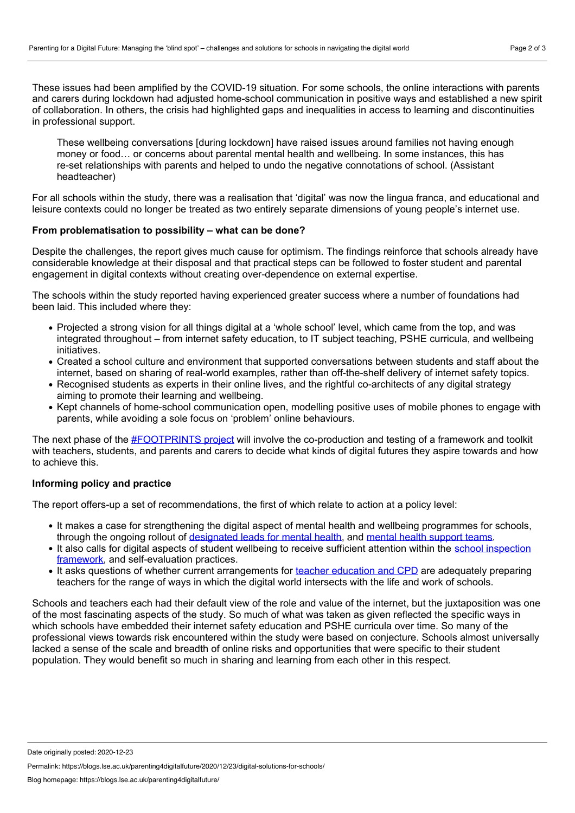These issues had been amplified by the COVID-19 situation. For some schools, the online interactions with parents and carers during lockdown had adjusted home-school communication in positive ways and established a new spirit of collaboration. In others, the crisis had highlighted gaps and inequalities in access to learning and discontinuities in professional support.

These wellbeing conversations [during lockdown] have raised issues around families not having enough money or food… or concerns about parental mental health and wellbeing. In some instances, this has re-set relationships with parents and helped to undo the negative connotations of school. (Assistant headteacher)

For all schools within the study, there was a realisation that 'digital' was now the lingua franca, and educational and leisure contexts could no longer be treated as two entirely separate dimensions of young people's internet use.

## **From problematisation to possibility – what can be done?**

Despite the challenges, the report gives much cause for optimism. The findings reinforce that schools already have considerable knowledge at their disposal and that practical steps can be followed to foster student and parental engagement in digital contexts without creating over-dependence on external expertise.

The schools within the study reported having experienced greater success where a number of foundations had been laid. This included where they:

- Projected a strong vision for all things digital at a 'whole school' level, which came from the top, and was integrated throughout – from internet safety education, to IT subject teaching, PSHE curricula, and wellbeing initiatives.
- Created a school culture and environment that supported conversations between students and staff about the internet, based on sharing of real-world examples, rather than off-the-shelf delivery of internet safety topics.
- Recognised students as experts in their online lives, and the rightful co-architects of any digital strategy aiming to promote their learning and wellbeing.
- Kept channels of home-school communication open, modelling positive uses of mobile phones to engage with parents, while avoiding a sole focus on 'problem' online behaviours.

The next phase of the **[#FOOTPRINTS](https://www.schoolsdigital.com/)** project will involve the co-production and testing of a framework and toolkit with teachers, students, and parents and carers to decide what kinds of digital futures they aspire towards and how to achieve this.

# **Informing policy and practice**

The report offers-up a set of recommendations, the first of which relate to action at a policy level:

- It makes a case for strengthening the digital aspect of mental health and wellbeing programmes for schools, through the ongoing rollout of [designated](https://www.gov.uk/government/consultations/transforming-children-and-young-peoples-mental-health-provision-a-green-paper/quick-read-transforming-children-and-young-peoples-mental-health-provision#:~:text=The%20designated%20lead%20will%20be,signs%20of%20mental%20health%20problems) leads for mental health, and mental health [support](https://www.england.nhs.uk/mental-health/cyp/trailblazers/) teams.
- It also calls for digital aspects of student wellbeing to receive sufficient attention within the school inspection framework, and [self-evaluation](https://www.educare.co.uk/ofsted-welfare-and-wellbeing) practices.
- It asks questions of whether current arrangements for teacher [education](https://www.ucl.ac.uk/news/2020/jul/analysis-teachers-have-been-let-down-decade-inaction-digital-technologies) and CPD are adequately preparing teachers for the range of ways in which the digital world intersects with the life and work of schools.

Schools and teachers each had their default view of the role and value of the internet, but the juxtaposition was one of the most fascinating aspects of the study. So much of what was taken as given reflected the specific ways in which schools have embedded their internet safety education and PSHE curricula over time. So many of the professional views towards risk encountered within the study were based on conjecture. Schools almost universally lacked a sense of the scale and breadth of online risks and opportunities that were specific to their student population. They would benefit so much in sharing and learning from each other in this respect.

Permalink: https://blogs.lse.ac.uk/parenting4digitalfuture/2020/12/23/digital-solutions-for-schools/

Date originally posted: 2020-12-23